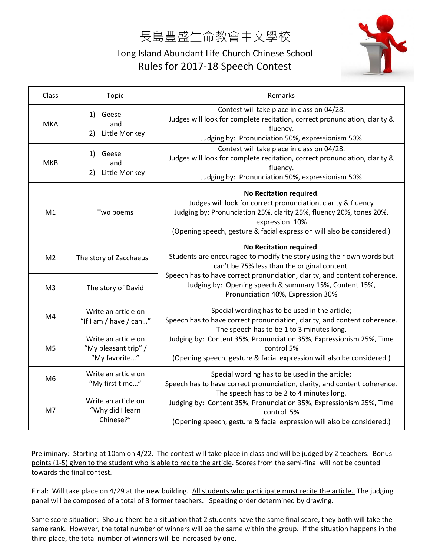## 長島豐盛生命教會中文學校

## Long Island Abundant Life Church Chinese School Rules for 2017-18 Speech Contest



| Class          | Topic                                                        | Remarks                                                                                                                                                                                                                                                                                                                                 |
|----------------|--------------------------------------------------------------|-----------------------------------------------------------------------------------------------------------------------------------------------------------------------------------------------------------------------------------------------------------------------------------------------------------------------------------------|
| <b>MKA</b>     | Geese<br>1)<br>and<br>Little Monkey<br>2)                    | Contest will take place in class on 04/28.<br>Judges will look for complete recitation, correct pronunciation, clarity &<br>fluency.<br>Judging by: Pronunciation 50%, expressionism 50%                                                                                                                                                |
| <b>MKB</b>     | Geese<br>1)<br>and<br>Little Monkey<br>2)                    | Contest will take place in class on 04/28.<br>Judges will look for complete recitation, correct pronunciation, clarity &<br>fluency.<br>Judging by: Pronunciation 50%, expressionism 50%                                                                                                                                                |
| M1             | Two poems                                                    | No Recitation required.<br>Judges will look for correct pronunciation, clarity & fluency<br>Judging by: Pronunciation 25%, clarity 25%, fluency 20%, tones 20%,<br>expression 10%<br>(Opening speech, gesture & facial expression will also be considered.)                                                                             |
| M <sub>2</sub> | The story of Zacchaeus                                       | No Recitation required.<br>Students are encouraged to modify the story using their own words but<br>can't be 75% less than the original content.<br>Speech has to have correct pronunciation, clarity, and content coherence.<br>Judging by: Opening speech & summary 15%, Content 15%,<br>Pronunciation 40%, Expression 30%            |
| M <sub>3</sub> | The story of David                                           |                                                                                                                                                                                                                                                                                                                                         |
| M4             | Write an article on<br>"If I am / have / can"                | Special wording has to be used in the article;<br>Speech has to have correct pronunciation, clarity, and content coherence.<br>The speech has to be 1 to 3 minutes long.<br>Judging by: Content 35%, Pronunciation 35%, Expressionism 25%, Time<br>control 5%<br>(Opening speech, gesture & facial expression will also be considered.) |
| M <sub>5</sub> | Write an article on<br>"My pleasant trip" /<br>"My favorite" |                                                                                                                                                                                                                                                                                                                                         |
| M <sub>6</sub> | Write an article on<br>"My first time"                       | Special wording has to be used in the article;<br>Speech has to have correct pronunciation, clarity, and content coherence.<br>The speech has to be 2 to 4 minutes long.<br>Judging by: Content 35%, Pronunciation 35%, Expressionism 25%, Time<br>control 5%<br>(Opening speech, gesture & facial expression will also be considered.) |
| M7             | Write an article on<br>"Why did I learn<br>Chinese?"         |                                                                                                                                                                                                                                                                                                                                         |

Preliminary: Starting at 10am on 4/22. The contest will take place in class and will be judged by 2 teachers. Bonus points (1-5) given to the student who is able to recite the article. Scores from the semi-final will not be counted towards the final contest.

Final: Will take place on 4/29 at the new building. All students who participate must recite the article. The judging panel will be composed of a total of 3 former teachers. Speaking order determined by drawing.

Same score situation: Should there be a situation that 2 students have the same final score, they both will take the same rank. However, the total number of winners will be the same within the group. If the situation happens in the third place, the total number of winners will be increased by one.